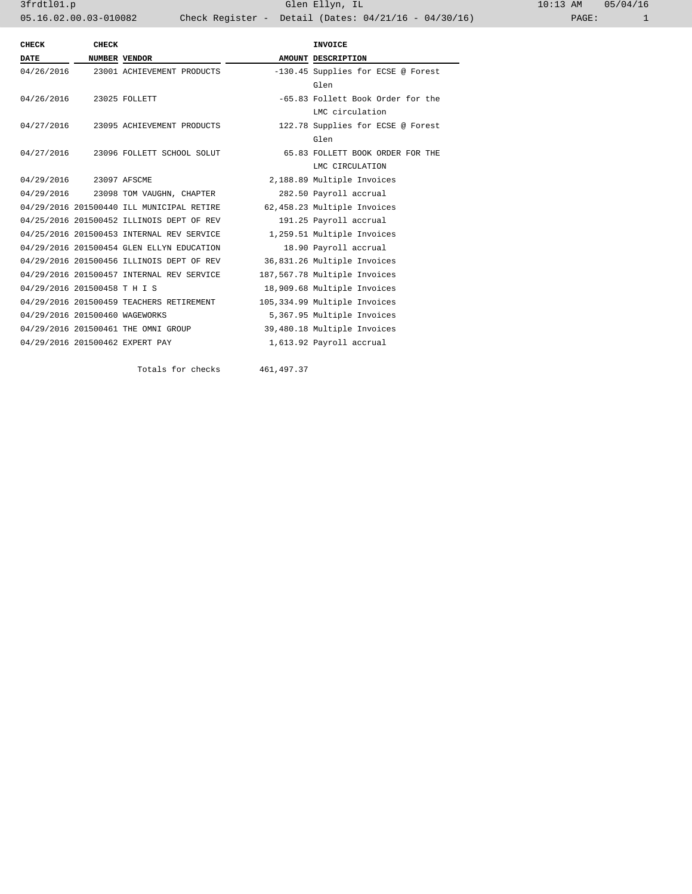3frdtl01.p Glen Ellyn, IL 10:13 AM 05/04/16 05.16.02.00.03-010082 Check Register - Detail (Dates: 04/21/16 - 04/30/16)

| <b>CHECK</b>                   | CHECK |                                           |  | <b>INVOICE</b>                     |  |
|--------------------------------|-------|-------------------------------------------|--|------------------------------------|--|
| <b>DATE</b>                    |       | <b>NUMBER VENDOR</b>                      |  | AMOUNT DESCRIPTION                 |  |
|                                |       | 04/26/2016 23001 ACHIEVEMENT PRODUCTS     |  | -130.45 Supplies for ECSE @ Forest |  |
|                                |       |                                           |  | Glen                               |  |
| 04/26/2016 23025 FOLLETT       |       |                                           |  | -65.83 Follett Book Order for the  |  |
|                                |       |                                           |  | LMC circulation                    |  |
|                                |       | 04/27/2016 23095 ACHIEVEMENT PRODUCTS     |  | 122.78 Supplies for ECSE @ Forest  |  |
|                                |       |                                           |  | Glen                               |  |
|                                |       | 04/27/2016 23096 FOLLETT SCHOOL SOLUT     |  | 65.83 FOLLETT BOOK ORDER FOR THE   |  |
|                                |       |                                           |  | LMC CIRCULATION                    |  |
| 04/29/2016 23097 AFSCME        |       |                                           |  | 2,188.89 Multiple Invoices         |  |
|                                |       | 04/29/2016 23098 TOM VAUGHN, CHAPTER      |  | 282.50 Payroll accrual             |  |
|                                |       | 04/29/2016 201500440 ILL MUNICIPAL RETIRE |  | 62,458.23 Multiple Invoices        |  |
|                                |       | 04/25/2016 201500452 ILLINOIS DEPT OF REV |  | 191.25 Payroll accrual             |  |
|                                |       | 04/25/2016 201500453 INTERNAL REV SERVICE |  | 1,259.51 Multiple Invoices         |  |
|                                |       | 04/29/2016 201500454 GLEN ELLYN EDUCATION |  | 18.90 Payroll accrual              |  |
|                                |       | 04/29/2016 201500456 ILLINOIS DEPT OF REV |  | 36,831.26 Multiple Invoices        |  |
|                                |       | 04/29/2016 201500457 INTERNAL REV SERVICE |  | 187,567.78 Multiple Invoices       |  |
| 04/29/2016 201500458 T H I S   |       |                                           |  | 18,909.68 Multiple Invoices        |  |
|                                |       | 04/29/2016 201500459 TEACHERS RETIREMENT  |  | 105,334.99 Multiple Invoices       |  |
| 04/29/2016 201500460 WAGEWORKS |       |                                           |  | 5,367.95 Multiple Invoices         |  |
|                                |       | 04/29/2016 201500461 THE OMNI GROUP       |  | 39,480.18 Multiple Invoices        |  |
|                                |       | 04/29/2016 201500462 EXPERT PAY           |  | 1,613.92 Payroll accrual           |  |
|                                |       |                                           |  |                                    |  |

Totals for checks 461,497.37